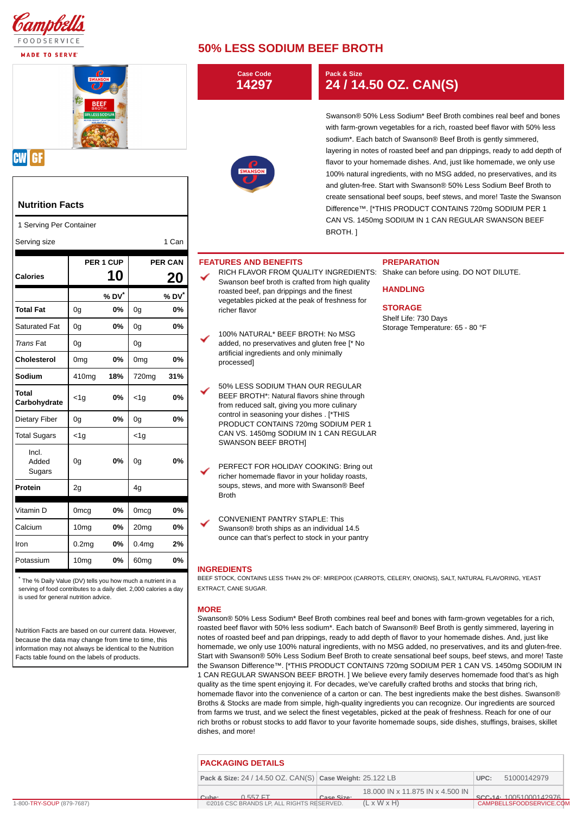

**MADE TO SERVE** 



## **CW GF**

## **Nutrition Facts**

| Serving size |
|--------------|
|--------------|

| <b>Calories</b>          |                   | PER 1 CUP<br><b>10</b> | <b>PER CAN</b><br>20 |       |
|--------------------------|-------------------|------------------------|----------------------|-------|
|                          |                   | % DV*                  |                      | % DV* |
| <b>Total Fat</b>         | 0g                | 0%                     | 0g                   | 0%    |
| <b>Saturated Fat</b>     | 0g                | 0%                     | 0g                   | 0%    |
| <b>Trans Fat</b>         | 0g                |                        | 0g                   |       |
| Cholesterol              | 0 <sub>mg</sub>   | 0%                     | 0 <sub>mg</sub>      | 0%    |
| Sodium                   | 410 <sub>mg</sub> | 18%                    | 720 <sub>mg</sub>    | 31%   |
| Total<br>Carbohydrate    | $<$ 1g            | 0%                     | $<$ 1 $g$            | 0%    |
| Dietary Fiber            | 0g                | 0%                     | 0g                   | 0%    |
| <b>Total Sugars</b>      | $<$ 1g            |                        | $<$ 1 $g$            |       |
| Incl.<br>Added<br>Sugars | 0g                | 0%                     | 0g                   | 0%    |
| Protein                  | 2g                |                        | 4g                   |       |
| Vitamin D                | <b>Omcg</b>       | 0%                     | <b>Omcg</b>          | 0%    |
| Calcium                  | 10 <sub>mg</sub>  | 0%                     | 20 <sub>mg</sub>     | 0%    |
| Iron                     | 0.2 <sub>mg</sub> | 0%                     | 0.4 <sub>mq</sub>    | 2%    |
| Potassium                | 10 <sub>mq</sub>  | 0%                     | 60 <sub>mg</sub>     | 0%    |

## **50% LESS SODIUM BEEF BROTH**

|                                                                                                                                                                                                                            |                   |                   |                   |                   |                                                                                                | <b>Case Code</b><br>14297                                                                                                     | Pack & Size<br>24 / 14.50 OZ. CAN(S)                                                                                                                                                                                                                                                                                                                                                                                                                                                                                                                                                            |                                                                                                                                                                                                                                                                                                                                                                                                                                                                                                                                                                                                                                                                                                                                                                                 |  |  |  |
|----------------------------------------------------------------------------------------------------------------------------------------------------------------------------------------------------------------------------|-------------------|-------------------|-------------------|-------------------|------------------------------------------------------------------------------------------------|-------------------------------------------------------------------------------------------------------------------------------|-------------------------------------------------------------------------------------------------------------------------------------------------------------------------------------------------------------------------------------------------------------------------------------------------------------------------------------------------------------------------------------------------------------------------------------------------------------------------------------------------------------------------------------------------------------------------------------------------|---------------------------------------------------------------------------------------------------------------------------------------------------------------------------------------------------------------------------------------------------------------------------------------------------------------------------------------------------------------------------------------------------------------------------------------------------------------------------------------------------------------------------------------------------------------------------------------------------------------------------------------------------------------------------------------------------------------------------------------------------------------------------------|--|--|--|
| BEEF<br><b>KLESS SODIL</b>                                                                                                                                                                                                 |                   |                   |                   |                   |                                                                                                | <b>SWANSON</b>                                                                                                                | Swanson® 50% Less Sodium* Beef Broth combines real beef and bones<br>with farm-grown vegetables for a rich, roasted beef flavor with 50% less<br>sodium*. Each batch of Swanson® Beef Broth is gently simmered,<br>layering in notes of roasted beef and pan drippings, ready to add depth of<br>flavor to your homemade dishes. And, just like homemade, we only use<br>100% natural ingredients, with no MSG added, no preservatives, and its<br>and gluten-free. Start with Swanson® 50% Less Sodium Beef Broth to<br>create sensational beef soups, beef stews, and more! Taste the Swanson |                                                                                                                                                                                                                                                                                                                                                                                                                                                                                                                                                                                                                                                                                                                                                                                 |  |  |  |
| <b>Nutrition Facts</b>                                                                                                                                                                                                     |                   |                   |                   |                   |                                                                                                |                                                                                                                               | Difference™. [*THIS PRODUCT CONTAINS 720mg SODIUM PER 1<br>CAN VS. 1450mg SODIUM IN 1 CAN REGULAR SWANSON BEEF<br>BROTH.]                                                                                                                                                                                                                                                                                                                                                                                                                                                                       |                                                                                                                                                                                                                                                                                                                                                                                                                                                                                                                                                                                                                                                                                                                                                                                 |  |  |  |
| 1 Serving Per Container                                                                                                                                                                                                    |                   |                   |                   |                   |                                                                                                |                                                                                                                               |                                                                                                                                                                                                                                                                                                                                                                                                                                                                                                                                                                                                 |                                                                                                                                                                                                                                                                                                                                                                                                                                                                                                                                                                                                                                                                                                                                                                                 |  |  |  |
| Serving size                                                                                                                                                                                                               |                   |                   |                   | 1 Can             |                                                                                                |                                                                                                                               |                                                                                                                                                                                                                                                                                                                                                                                                                                                                                                                                                                                                 |                                                                                                                                                                                                                                                                                                                                                                                                                                                                                                                                                                                                                                                                                                                                                                                 |  |  |  |
|                                                                                                                                                                                                                            |                   | PER 1 CUP         |                   | <b>PER CAN</b>    |                                                                                                | <b>FEATURES AND BENEFITS</b>                                                                                                  |                                                                                                                                                                                                                                                                                                                                                                                                                                                                                                                                                                                                 | <b>PREPARATION</b>                                                                                                                                                                                                                                                                                                                                                                                                                                                                                                                                                                                                                                                                                                                                                              |  |  |  |
| Calories                                                                                                                                                                                                                   |                   | <b>10</b>         |                   | 20                |                                                                                                | Swanson beef broth is crafted from high quality                                                                               |                                                                                                                                                                                                                                                                                                                                                                                                                                                                                                                                                                                                 | RICH FLAVOR FROM QUALITY INGREDIENTS: Shake can before using. DO NOT DILUTE.                                                                                                                                                                                                                                                                                                                                                                                                                                                                                                                                                                                                                                                                                                    |  |  |  |
|                                                                                                                                                                                                                            |                   | % DV <sup>*</sup> |                   | % DV <sup>*</sup> |                                                                                                | roasted beef, pan drippings and the finest<br>vegetables picked at the peak of freshness for                                  |                                                                                                                                                                                                                                                                                                                                                                                                                                                                                                                                                                                                 | <b>HANDLING</b><br><b>STORAGE</b><br>Shelf Life: 730 Days                                                                                                                                                                                                                                                                                                                                                                                                                                                                                                                                                                                                                                                                                                                       |  |  |  |
| <b>Total Fat</b>                                                                                                                                                                                                           | 0g                | 0%                | 0g                | 0%                |                                                                                                | richer flavor                                                                                                                 |                                                                                                                                                                                                                                                                                                                                                                                                                                                                                                                                                                                                 |                                                                                                                                                                                                                                                                                                                                                                                                                                                                                                                                                                                                                                                                                                                                                                                 |  |  |  |
| Saturated Fat                                                                                                                                                                                                              | 0g                | 0%                | 0g                | 0%                |                                                                                                | 100% NATURAL* BEEF BROTH: No MSG                                                                                              |                                                                                                                                                                                                                                                                                                                                                                                                                                                                                                                                                                                                 | Storage Temperature: 65 - 80 °F                                                                                                                                                                                                                                                                                                                                                                                                                                                                                                                                                                                                                                                                                                                                                 |  |  |  |
| <b>Trans Fat</b>                                                                                                                                                                                                           | 0g                |                   | 0g                |                   |                                                                                                | added, no preservatives and gluten free [* No                                                                                 |                                                                                                                                                                                                                                                                                                                                                                                                                                                                                                                                                                                                 |                                                                                                                                                                                                                                                                                                                                                                                                                                                                                                                                                                                                                                                                                                                                                                                 |  |  |  |
| Cholesterol                                                                                                                                                                                                                | 0 <sub>mg</sub>   | 0%                | 0 <sub>mg</sub>   | 0%                |                                                                                                | artificial ingredients and only minimally<br>processed]                                                                       |                                                                                                                                                                                                                                                                                                                                                                                                                                                                                                                                                                                                 |                                                                                                                                                                                                                                                                                                                                                                                                                                                                                                                                                                                                                                                                                                                                                                                 |  |  |  |
| Sodium                                                                                                                                                                                                                     | 410 <sub>mg</sub> | 18%               | 720mg             | 31%               |                                                                                                |                                                                                                                               |                                                                                                                                                                                                                                                                                                                                                                                                                                                                                                                                                                                                 |                                                                                                                                                                                                                                                                                                                                                                                                                                                                                                                                                                                                                                                                                                                                                                                 |  |  |  |
| Total<br>Carbohydrate                                                                                                                                                                                                      | $<$ 1g            | 0%                | $<$ 1g            | 0%                |                                                                                                | 50% LESS SODIUM THAN OUR REGULAR<br>BEEF BROTH*: Natural flavors shine through<br>from reduced salt, giving you more culinary |                                                                                                                                                                                                                                                                                                                                                                                                                                                                                                                                                                                                 |                                                                                                                                                                                                                                                                                                                                                                                                                                                                                                                                                                                                                                                                                                                                                                                 |  |  |  |
| Dietary Fiber                                                                                                                                                                                                              | 0g                | 0%                | 0g                | 0%                |                                                                                                | control in seasoning your dishes . [*THIS<br>PRODUCT CONTAINS 720mg SODIUM PER 1                                              |                                                                                                                                                                                                                                                                                                                                                                                                                                                                                                                                                                                                 |                                                                                                                                                                                                                                                                                                                                                                                                                                                                                                                                                                                                                                                                                                                                                                                 |  |  |  |
| <b>Total Sugars</b>                                                                                                                                                                                                        | $<$ 1g            |                   | $<$ 1g            |                   |                                                                                                | CAN VS. 1450mg SODIUM IN 1 CAN REGULAR                                                                                        |                                                                                                                                                                                                                                                                                                                                                                                                                                                                                                                                                                                                 |                                                                                                                                                                                                                                                                                                                                                                                                                                                                                                                                                                                                                                                                                                                                                                                 |  |  |  |
| Incl.<br>Added<br>Sugars                                                                                                                                                                                                   | 0g                | 0%                | 0g                | 0%                |                                                                                                | SWANSON BEEF BROTH]<br>PERFECT FOR HOLIDAY COOKING: Bring out<br>richer homemade flavor in your holiday roasts,               |                                                                                                                                                                                                                                                                                                                                                                                                                                                                                                                                                                                                 |                                                                                                                                                                                                                                                                                                                                                                                                                                                                                                                                                                                                                                                                                                                                                                                 |  |  |  |
| Protein                                                                                                                                                                                                                    | $2\mathfrak{g}$   |                   | 4g                |                   |                                                                                                | soups, stews, and more with Swanson® Beef<br><b>Broth</b>                                                                     |                                                                                                                                                                                                                                                                                                                                                                                                                                                                                                                                                                                                 |                                                                                                                                                                                                                                                                                                                                                                                                                                                                                                                                                                                                                                                                                                                                                                                 |  |  |  |
| Vitamin D                                                                                                                                                                                                                  | <b>Omcg</b>       | 0%                | Omcg              | 0%                |                                                                                                |                                                                                                                               |                                                                                                                                                                                                                                                                                                                                                                                                                                                                                                                                                                                                 |                                                                                                                                                                                                                                                                                                                                                                                                                                                                                                                                                                                                                                                                                                                                                                                 |  |  |  |
| Calcium                                                                                                                                                                                                                    | 10 <sub>mg</sub>  | 0%                | 20 <sub>mg</sub>  | 0%                |                                                                                                | CONVENIENT PANTRY STAPLE: This                                                                                                |                                                                                                                                                                                                                                                                                                                                                                                                                                                                                                                                                                                                 |                                                                                                                                                                                                                                                                                                                                                                                                                                                                                                                                                                                                                                                                                                                                                                                 |  |  |  |
| Iron                                                                                                                                                                                                                       | 0.2 <sub>mg</sub> | 0%                | 0.4 <sub>mg</sub> | 2%                | Swanson® broth ships as an individual 14.5<br>ounce can that's perfect to stock in your pantry |                                                                                                                               |                                                                                                                                                                                                                                                                                                                                                                                                                                                                                                                                                                                                 |                                                                                                                                                                                                                                                                                                                                                                                                                                                                                                                                                                                                                                                                                                                                                                                 |  |  |  |
| Potassium                                                                                                                                                                                                                  | 10 <sub>mg</sub>  | 0%                | 60 <sub>mg</sub>  | 0%                |                                                                                                |                                                                                                                               |                                                                                                                                                                                                                                                                                                                                                                                                                                                                                                                                                                                                 |                                                                                                                                                                                                                                                                                                                                                                                                                                                                                                                                                                                                                                                                                                                                                                                 |  |  |  |
|                                                                                                                                                                                                                            |                   |                   |                   |                   |                                                                                                | <b>INGREDIENTS</b>                                                                                                            |                                                                                                                                                                                                                                                                                                                                                                                                                                                                                                                                                                                                 |                                                                                                                                                                                                                                                                                                                                                                                                                                                                                                                                                                                                                                                                                                                                                                                 |  |  |  |
| The % Daily Value (DV) tells you how much a nutrient in a<br>serving of food contributes to a daily diet. 2,000 calories a day<br>is used for general nutrition advice.                                                    |                   |                   |                   |                   |                                                                                                | EXTRACT, CANE SUGAR.                                                                                                          |                                                                                                                                                                                                                                                                                                                                                                                                                                                                                                                                                                                                 | BEEF STOCK, CONTAINS LESS THAN 2% OF: MIREPOIX (CARROTS, CELERY, ONIONS), SALT, NATURAL FLAVORING, YEAST                                                                                                                                                                                                                                                                                                                                                                                                                                                                                                                                                                                                                                                                        |  |  |  |
| Nutrition Facts are based on our current data. However,<br>because the data may change from time to time, this<br>information may not always be identical to the Nutrition<br>Facts table found on the labels of products. |                   |                   |                   |                   | <b>MORE</b>                                                                                    |                                                                                                                               |                                                                                                                                                                                                                                                                                                                                                                                                                                                                                                                                                                                                 | Swanson® 50% Less Sodium* Beef Broth combines real beef and bones with farm-grown vegetables for a rich,<br>roasted beef flavor with 50% less sodium*. Each batch of Swanson® Beef Broth is gently simmered, layering in<br>notes of roasted beef and pan drippings, ready to add depth of flavor to your homemade dishes. And, just like<br>homemade, we only use 100% natural ingredients, with no MSG added, no preservatives, and its and gluten-free.<br>Start with Swanson® 50% Less Sodium Beef Broth to create sensational beef soups, beef stews, and more! Taste<br>the Swanson Difference™. [*THIS PRODUCT CONTAINS 720mg SODIUM PER 1 CAN VS. 1450mg SODIUM IN<br>1 CAN REGULAR SWANSON BEEF BROTH. ] We believe every family deserves homemade food that's as high |  |  |  |

Broths & Stocks are made from simple, high-quality ingredients you can recognize. Our ingredients are sourced from farms we trust, and we select the finest vegetables, picked at the peak of freshness. Reach for one of our rich broths or robust stocks to add flavor to your favorite homemade soups, side dishes, stuffings, braises, skillet dishes, and more! **PACKAGING DETAILS Pack & Size:** 24 / 14.50 OZ. CAN(S) **Case Weight:** 25.122 LB **UPC:** 51000142979

18.000 IN x 11.875 IN x 4.500 IN

quality as the time spent enjoying it. For decades, we've carefully crafted broths and stocks that bring rich, homemade flavor into the convenience of a carton or can. The best ingredients make the best dishes. Swanson®

**Cube:** 0.557 FT **Case Size:** 1-800-TRY-SOUP (879-7687) ©2016 CSC BRANDS LP, ALL RIGHTS RESERVED. CAMPBELLSFOODSERVICE.COM

 $(L \times W \times H)$ 

SCC-14: 10051000142976<br>| CAMPBELLSFOODSERVICE.COM